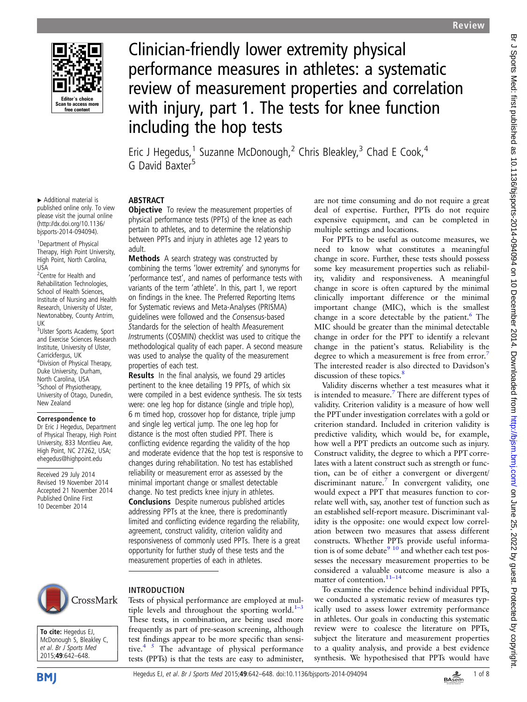

▸ Additional material is published online only. To view please visit the journal online [\(http://dx.doi.org/10.1136/](http://dx.doi.org/10.1136/bjsports-2014-094094) [bjsports-2014-094094](http://dx.doi.org/10.1136/bjsports-2014-094094)). 1 Department of Physical Therapy, High Point University, High Point, North Carolina,

<sup>2</sup> Centre for Health and Rehabilitation Technologies, School of Health Sciences, Institute of Nursing and Health Research, University of Ulster, Newtonabbey, County Antrim,

<sup>3</sup>Ulster Sports Academy, Sport and Exercise Sciences Research Institute, University of Ulster, Carrickfergus, UK 4 Division of Physical Therapy, Duke University, Durham, North Carolina, USA <sup>5</sup>School of Physiotherapy, University of Otago, Dunedin,

USA

UK

New Zealand

Correspondence to Dr Eric J Hegedus, Department of Physical Therapy, High Point University, 833 Montlieu Ave, High Point, NC 27262, USA; ehegedus@highpoint.edu Received 29 July 2014 Revised 19 November 2014 Accepted 21 November 2014 Published Online First 10 December 2014

# Clinician-friendly lower extremity physical performance measures in athletes: a systematic review of measurement properties and correlation with injury, part 1. The tests for knee function including the hop tests

Eric J Hegedus,<sup>1</sup> Suzanne McDonough,<sup>2</sup> Chris Bleakley,<sup>3</sup> Chad E Cook,<sup>4</sup> G David Baxter<sup>5</sup>

## ABSTRACT

**Objective** To review the measurement properties of physical performance tests (PPTs) of the knee as each pertain to athletes, and to determine the relationship between PPTs and injury in athletes age 12 years to adult.

Methods A search strategy was constructed by combining the terms 'lower extremity' and synonyms for 'performance test', and names of performance tests with variants of the term 'athlete'. In this, part 1, we report on findings in the knee. The Preferred Reporting Items for Systematic reviews and Meta-Analyses (PRISMA) guidelines were followed and the Consensus-based Standards for the selection of health Measurement Instruments (COSMIN) checklist was used to critique the methodological quality of each paper. A second measure was used to analyse the quality of the measurement properties of each test.

Results In the final analysis, we found 29 articles pertinent to the knee detailing 19 PPTs, of which six were compiled in a best evidence synthesis. The six tests were: one leg hop for distance (single and triple hop), 6 m timed hop, crossover hop for distance, triple jump and single leg vertical jump. The one leg hop for distance is the most often studied PPT. There is conflicting evidence regarding the validity of the hop and moderate evidence that the hop test is responsive to changes during rehabilitation. No test has established reliability or measurement error as assessed by the minimal important change or smallest detectable change. No test predicts knee injury in athletes. Conclusions Despite numerous published articles addressing PPTs at the knee, there is predominantly limited and conflicting evidence regarding the reliability, agreement, construct validity, criterion validity and responsiveness of commonly used PPTs. There is a great opportunity for further study of these tests and the measurement properties of each in athletes.



#### To cite: Hegedus EJ, McDonough S, Bleakley C, et al. Br J Sports Med 2015;49:642–648.

# INTRODUCTION

Tests of physical performance are employed at multiple levels and throughout the sporting world.<sup>1–3</sup> These tests, in combination, are being used more frequently as part of pre-season screening, although test findings appear to be more specific than sensi-tive.<sup>[4 5](#page-6-0)</sup> The advantage of physical performance tests (PPTs) is that the tests are easy to administer,

are not time consuming and do not require a great deal of expertise. Further, PPTs do not require expensive equipment, and can be completed in multiple settings and locations.

For PPTs to be useful as outcome measures, we need to know what constitutes a meaningful change in score. Further, these tests should possess some key measurement properties such as reliability, validity and responsiveness. A meaningful change in score is often captured by the minimal clinically important difference or the minimal important change (MIC), which is the smallest change in a score detectable by the patient.<sup>6</sup> The MIC should be greater than the minimal detectable change in order for the PPT to identify a relevant change in the patient's status. Reliability is the degree to which a measurement is free from error.<sup>[7](#page-6-0)</sup> The interested reader is also directed to Davidson's discussion of these topics.<sup>[8](#page-6-0)</sup>

Validity discerns whether a test measures what it is intended to measure.<sup>[7](#page-6-0)</sup> There are different types of validity. Criterion validity is a measure of how well the PPTunder investigation correlates with a gold or criterion standard. Included in criterion validity is predictive validity, which would be, for example, how well a PPT predicts an outcome such as injury. Construct validity, the degree to which a PPT correlates with a latent construct such as strength or function, can be of either a convergent or divergent/ discriminant nature.<sup>[7](#page-6-0)</sup> In convergent validity, one would expect a PPT that measures function to correlate well with, say, another test of function such as an established self-report measure. Discriminant validity is the opposite: one would expect low correlation between two measures that assess different constructs. Whether PPTs provide useful information is of some debate $9^{10}$  and whether each test possesses the necessary measurement properties to be considered a valuable outcome measure is also a matter of contention.<sup>11-[14](#page-6-0)</sup>

To examine the evidence behind individual PPTs, we conducted a systematic review of measures typically used to assess lower extremity performance in athletes. Our goals in conducting this systematic review were to coalesce the literature on PPTs, subject the literature and measurement properties to a quality analysis, and provide a best evidence synthesis. We hypothesised that PPTs would have

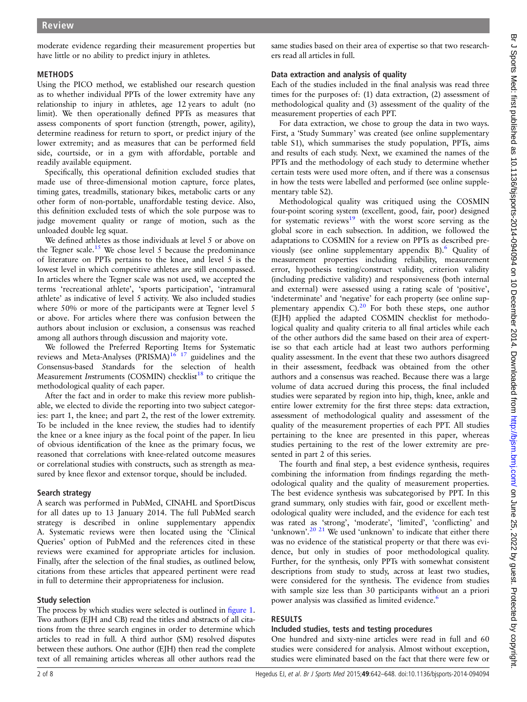moderate evidence regarding their measurement properties but have little or no ability to predict injury in athletes.

## METHODS

Using the PICO method, we established our research question as to whether individual PPTs of the lower extremity have any relationship to injury in athletes, age 12 years to adult (no limit). We then operationally defined PPTs as measures that assess components of sport function (strength, power, agility), determine readiness for return to sport, or predict injury of the lower extremity; and as measures that can be performed field side, courtside, or in a gym with affordable, portable and readily available equipment.

Specifically, this operational definition excluded studies that made use of three-dimensional motion capture, force plates, timing gates, treadmills, stationary bikes, metabolic carts or any other form of non-portable, unaffordable testing device. Also, this definition excluded tests of which the sole purpose was to judge movement quality or range of motion, such as the unloaded double leg squat.

We defined athletes as those individuals at level 5 or above on the Tegner scale.<sup>[15](#page-6-0)</sup> We chose level 5 because the predominance of literature on PPTs pertains to the knee, and level 5 is the lowest level in which competitive athletes are still encompassed. In articles where the Tegner scale was not used, we accepted the terms 'recreational athlete', 'sports participation', 'intramural athlete' as indicative of level 5 activity. We also included studies where 50% or more of the participants were at Tegner level 5 or above. For articles where there was confusion between the authors about inclusion or exclusion, a consensus was reached among all authors through discussion and majority vote.

We followed the Preferred Reporting Items for Systematic reviews and Meta-Analyses (PRISMA)<sup>[16 17](#page-6-0)</sup> guidelines and the Consensus-based Standards for the selection of health Measurement Instruments (COSMIN) checklist<sup>[18](#page-6-0)</sup> to critique the methodological quality of each paper.

After the fact and in order to make this review more publishable, we elected to divide the reporting into two subject categories: part 1, the knee; and part 2, the rest of the lower extremity. To be included in the knee review, the studies had to identify the knee or a knee injury as the focal point of the paper. In lieu of obvious identification of the knee as the primary focus, we reasoned that correlations with knee-related outcome measures or correlational studies with constructs, such as strength as measured by knee flexor and extensor torque, should be included.

## Search strategy

A search was performed in PubMed, CINAHL and SportDiscus for all dates up to 13 January 2014. The full PubMed search strategy is described in online supplementary appendix A. Systematic reviews were then located using the 'Clinical Queries' option of PubMed and the references cited in these reviews were examined for appropriate articles for inclusion. Finally, after the selection of the final studies, as outlined below, citations from these articles that appeared pertinent were read in full to determine their appropriateness for inclusion.

## Study selection

The process by which studies were selected is outlined in fi[gure 1](#page-2-0). Two authors (EJH and CB) read the titles and abstracts of all citations from the three search engines in order to determine which articles to read in full. A third author (SM) resolved disputes between these authors. One author (EJH) then read the complete text of all remaining articles whereas all other authors read the

same studies based on their area of expertise so that two researchers read all articles in full.

## Data extraction and analysis of quality

Each of the studies included in the final analysis was read three times for the purposes of: (1) data extraction, (2) assessment of methodological quality and (3) assessment of the quality of the measurement properties of each PPT.

For data extraction, we chose to group the data in two ways. First, a 'Study Summary' was created (see online supplementary table S1), which summarises the study population, PPTs, aims and results of each study. Next, we examined the names of the PPTs and the methodology of each study to determine whether certain tests were used more often, and if there was a consensus in how the tests were labelled and performed (see online supplementary table S2).

Methodological quality was critiqued using the COSMIN four-point scoring system (excellent, good, fair, poor) designed for systematic reviews $19$  with the worst score serving as the global score in each subsection. In addition, we followed the adaptations to COSMIN for a review on PPTs as described previously (see online supplementary appendix  $B$ ).<sup>[6](#page-6-0)</sup> Quality of measurement properties including reliability, measurement error, hypothesis testing/construct validity, criterion validity (including predictive validity) and responsiveness (both internal and external) were assessed using a rating scale of 'positive', 'indeterminate' and 'negative' for each property (see online sup-plementary appendix C).<sup>[20](#page-6-0)</sup> For both these steps, one author (EJH) applied the adapted COSMIN checklist for methodological quality and quality criteria to all final articles while each of the other authors did the same based on their area of expertise so that each article had at least two authors performing quality assessment. In the event that these two authors disagreed in their assessment, feedback was obtained from the other authors and a consensus was reached. Because there was a large volume of data accrued during this process, the final included studies were separated by region into hip, thigh, knee, ankle and entire lower extremity for the first three steps: data extraction, assessment of methodological quality and assessment of the quality of the measurement properties of each PPT. All studies pertaining to the knee are presented in this paper, whereas studies pertaining to the rest of the lower extremity are presented in part 2 of this series.

The fourth and final step, a best evidence synthesis, requires combining the information from findings regarding the methodological quality and the quality of measurement properties. The best evidence synthesis was subcategorised by PPT. In this grand summary, only studies with fair, good or excellent methodological quality were included, and the evidence for each test was rated as 'strong', 'moderate', 'limited', 'conflicting' and 'unknown'.<sup>[20 21](#page-6-0)</sup> We used 'unknown' to indicate that either there was no evidence of the statistical property or that there was evidence, but only in studies of poor methodological quality. Further, for the synthesis, only PPTs with somewhat consistent descriptions from study to study, across at least two studies, were considered for the synthesis. The evidence from studies with sample size less than 30 participants without an a priori power analysis was classified as limited evidence.<sup>[6](#page-6-0)</sup>

## RESULTS

# Included studies, tests and testing procedures

One hundred and sixty-nine articles were read in full and 60 studies were considered for analysis. Almost without exception, studies were eliminated based on the fact that there were few or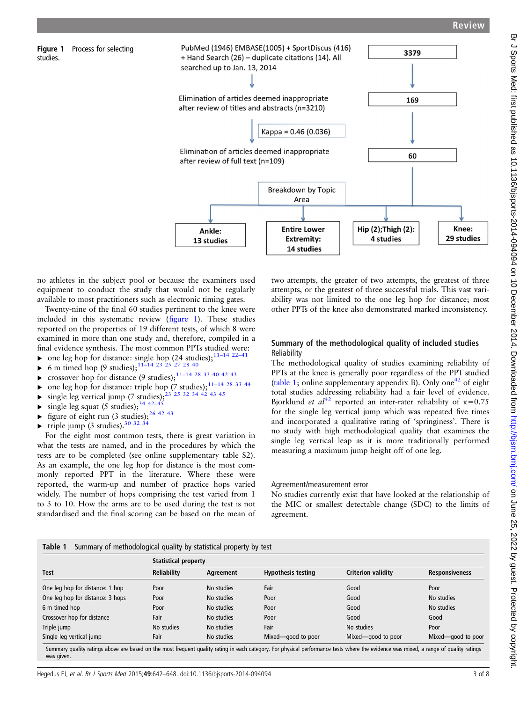

no athletes in the subject pool or because the examiners used equipment to conduct the study that would not be regularly available to most practitioners such as electronic timing gates.

Twenty-nine of the final 60 studies pertinent to the knee were included in this systematic review (figure 1). These studies reported on the properties of 19 different tests, of which 8 were examined in more than one study and, therefore, compiled in a final evidence synthesis. The most common PPTs studied were:

- one leg hop for distance: single hop  $(24 \text{ studies});^{11-14}$  $(24 \text{ studies});^{11-14}$  $(24 \text{ studies});^{11-14}$   $22-41$ • 6 m timed hop (9 studies);<sup>11–14 23</sup> <sup>25</sup> <sup>27</sup> <sup>28</sup> <sup>40</sup>
- 
- ▶ crossover hop for distance (9 studies);<sup>11–14</sup> <sup>28</sup> <sup>33</sup> <sup>40</sup> <sup>42</sup> <sup>43</sup>
- one leg hop for distance: triple hop (7 studies);<sup>11–[14 28 33](#page-6-0)</sup> [44](#page-7-0)<br>beginned as vertical iumn (7 studies);<sup>23</sup> <sup>25</sup> <sup>32</sup> <sup>34</sup> 42 43 45
- single leg vertical jump (7 studies); $\frac{3}{2}$ single leg squat (5 studies);  $3442-4$  $3442-4$
- $\blacktriangleright$  figure of eight run (3 studies);<sup>[26](#page-6-0) [42 43](#page-7-0)</sup>
- triple jump (3 studies).  $30\frac{32\frac{34}{3}}{4}$

<span id="page-2-0"></span>Figure 1 Process for selecting

studies.

For the eight most common tests, there is great variation in what the tests are named, and in the procedures by which the tests are to be completed (see online supplementary table S2). As an example, the one leg hop for distance is the most commonly reported PPT in the literature. Where these were reported, the warm-up and number of practice hops varied widely. The number of hops comprising the test varied from 1 to 3 to 10. How the arms are to be used during the test is not standardised and the final scoring can be based on the mean of

two attempts, the greater of two attempts, the greatest of three attempts, or the greatest of three successful trials. This vast variability was not limited to the one leg hop for distance; most other PPTs of the knee also demonstrated marked inconsistency.

## Summary of the methodological quality of included studies Reliability

The methodological quality of studies examining reliability of PPTs at the knee is generally poor regardless of the PPT studied (table 1; online [supplementary appendix](http://bjsm.bmj.com/lookup/suppl/doi:10.1136/bjsports-2014-094094/-/DC1) B). Only one<sup>[42](#page-7-0)</sup> of eight total studies addressing reliability had a fair level of evidence. Bjorklund et al<sup>[42](#page-7-0)</sup> reported an inter-rater reliability of  $\kappa$ =0.75 for the single leg vertical jump which was repeated five times and incorporated a qualitative rating of 'springiness'. There is no study with high methodological quality that examines the single leg vertical leap as it is more traditionally performed measuring a maximum jump height off of one leg.

#### Agreement/measurement error

No studies currently exist that have looked at the relationship of the MIC or smallest detectable change (SDC) to the limits of agreement.

| Table 1 Summary of methodological quality by statistical property by test |  |
|---------------------------------------------------------------------------|--|
|---------------------------------------------------------------------------|--|

|                                                                                                                                                                                  |                    | <b>Statistical property</b> |                           |                           |                       |  |  |  |
|----------------------------------------------------------------------------------------------------------------------------------------------------------------------------------|--------------------|-----------------------------|---------------------------|---------------------------|-----------------------|--|--|--|
| <b>Test</b>                                                                                                                                                                      | <b>Reliability</b> | Agreement                   | <b>Hypothesis testing</b> | <b>Criterion validity</b> | <b>Responsiveness</b> |  |  |  |
| One leg hop for distance: 1 hop                                                                                                                                                  | Poor               | No studies                  | Fair                      | Good                      | Poor                  |  |  |  |
| One leg hop for distance: 3 hops                                                                                                                                                 | Poor               | No studies                  | Poor                      | Good                      | No studies            |  |  |  |
| 6 m timed hop                                                                                                                                                                    | Poor               | No studies                  | Poor                      | Good                      | No studies            |  |  |  |
| Crossover hop for distance                                                                                                                                                       | Fair               | No studies                  | Poor                      | Good                      | Good                  |  |  |  |
| Triple jump                                                                                                                                                                      | No studies         | No studies                  | Fair                      | No studies                | Poor                  |  |  |  |
| Single leg vertical jump                                                                                                                                                         | Fair               | No studies                  | Mixed-qood to poor        | Mixed-qood to poor        | Mixed-good to poor    |  |  |  |
| Common andier estate above are based on the most frament andier ration in and sessons. For aborded as formers sessons than whome the address cost mixed a many of modis rations. |                    |                             |                           |                           |                       |  |  |  |

most frequent quality rating in each category. For physical performance tests where the evidence was mixed, was given.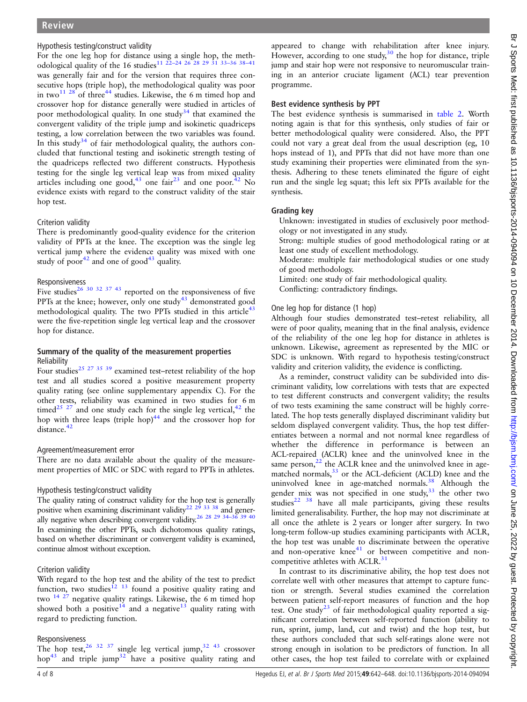#### Hypothesis testing/construct validity

For the one leg hop for distance using a single hop, the methodological quality of the  $16$  studies<sup>[11 22](#page-6-0)–24</sup> [26 28 29 31](#page-6-0) 33–[36 38](#page-6-0)–41 was generally fair and for the version that requires three consecutive hops (triple hop), the methodological quality was poor in two $^{11}$   $^{28}$  of three<sup>[44](#page-7-0)</sup> studies. Likewise, the 6 m timed hop and crossover hop for distance generally were studied in articles of poor methodological quality. In one study<sup>[34](#page-6-0)</sup> that examined the convergent validity of the triple jump and isokinetic quadriceps testing, a low correlation between the two variables was found. In this study<sup>34</sup> of fair methodological quality, the authors concluded that functional testing and isokinetic strength testing of the quadriceps reflected two different constructs. Hypothesis testing for the single leg vertical leap was from mixed quality articles including one good,<sup>[43](#page-7-0)</sup> one fair<sup>[23](#page-6-0)</sup> and one poor.<sup>[42](#page-7-0)</sup> No evidence exists with regard to the construct validity of the stair hop test.

#### Criterion validity

There is predominantly good-quality evidence for the criterion validity of PPTs at the knee. The exception was the single leg vertical jump where the evidence quality was mixed with one study of poor $42$  and one of good $43$  quality.

#### Responsiveness

Five studies<sup>[26 30 32 37](#page-6-0) [43](#page-7-0)</sup> reported on the responsiveness of five PPTs at the knee; however, only one study<sup>[43](#page-7-0)</sup> demonstrated good methodological quality. The two PPTs studied in this article<sup>[43](#page-7-0)</sup> were the five-repetition single leg vertical leap and the crossover hop for distance.

## Summary of the quality of the measurement properties Reliability

Four studies<sup>[25 27 35 39](#page-6-0)</sup> examined test–retest reliability of the hop test and all studies scored a positive measurement property quality rating (see online [supplementary appendix](http://bjsm.bmj.com/lookup/suppl/doi:10.1136/bjsports-2014-094094/-/DC1) C). For the other tests, reliability was examined in two studies for 6 m timed<sup>[25 27](#page-6-0)</sup> and one study each for the single leg vertical,  $42$  the hop with three leaps (triple hop) $44$  and the crossover hop for distance.<sup>[42](#page-7-0)</sup>

#### Agreement/measurement error

There are no data available about the quality of the measurement properties of MIC or SDC with regard to PPTs in athletes.

#### Hypothesis testing/construct validity

The quality rating of construct validity for the hop test is generally positive when examining discriminant validity<sup>22 29</sup> 33 38 and gener-ally negative when describing convergent validity.<sup>26 28 29 34–36 [39](#page-6-0)</sup> [40](#page-7-0) In examining the other PPTs, such dichotomous quality ratings, based on whether discriminant or convergent validity is examined, continue almost without exception.

#### Criterion validity

With regard to the hop test and the ability of the test to predict function, two studies<sup>12</sup> <sup>13</sup> found a positive quality rating and two  $14\frac{27}{7}$  negative quality ratings. Likewise, the 6 m timed hop showed both a positive<sup>14</sup> and a negative<sup>[13](#page-6-0)</sup> quality rating with regard to predicting function.

#### Responsiveness

The hop test,  $26 \frac{32}{37}$  $26 \frac{32}{37}$  $26 \frac{32}{37}$  single leg vertical jump,  $32 \frac{43}{37}$  crossover  $hop^{43}$  $hop^{43}$  $hop^{43}$  and triple jump<sup>[32](#page-6-0)</sup> have a positive quality rating and

appeared to change with rehabilitation after knee injury. However, according to one study,  $30$  the hop for distance, triple jump and stair hop were not responsive to neuromuscular training in an anterior cruciate ligament (ACL) tear prevention programme.

## Best evidence synthesis by PPT

The best evidence synthesis is summarised in [table 2](#page-4-0). Worth noting again is that for this synthesis, only studies of fair or better methodological quality were considered. Also, the PPT could not vary a great deal from the usual description (eg, 10 hops instead of 1), and PPTs that did not have more than one study examining their properties were eliminated from the synthesis. Adhering to these tenets eliminated the figure of eight run and the single leg squat; this left six PPTs available for the synthesis.

### Grading key

Unknown: investigated in studies of exclusively poor methodology or not investigated in any study.

- Strong: multiple studies of good methodological rating or at least one study of excellent methodology.
- Moderate: multiple fair methodological studies or one study of good methodology.
- Limited: one study of fair methodological quality.
- Conflicting: contradictory findings.

## One leg hop for distance (1 hop)

Although four studies demonstrated test–retest reliability, all were of poor quality, meaning that in the final analysis, evidence of the reliability of the one leg hop for distance in athletes is unknown. Likewise, agreement as represented by the MIC or SDC is unknown. With regard to hypothesis testing/construct validity and criterion validity, the evidence is conflicting.

As a reminder, construct validity can be subdivided into discriminant validity, low correlations with tests that are expected to test different constructs and convergent validity; the results of two tests examining the same construct will be highly correlated. The hop tests generally displayed discriminant validity but seldom displayed convergent validity. Thus, the hop test differentiates between a normal and not normal knee regardless of whether the difference in performance is between an ACL-repaired (ACLR) knee and the uninvolved knee in the same person, $^{22}$  $^{22}$  $^{22}$  the ACLR knee and the uninvolved knee in agematched normals,<sup>33</sup> or the ACL-deficient (ACLD) knee and the uninvolved knee in age-matched normals.<sup>[38](#page-6-0)</sup> Although the gender mix was not specified in one study,  $33$  the other two studies<sup>22</sup>  $38$  have all male participants, giving these results limited generalisability. Further, the hop may not discriminate at all once the athlete is 2 years or longer after surgery. In two long-term follow-up studies examining participants with ACLR, the hop test was unable to discriminate between the operative and non-operative knee $41$  or between competitive and non-competitive athletes with ACLR.<sup>[31](#page-6-0)</sup>

In contrast to its discriminative ability, the hop test does not correlate well with other measures that attempt to capture function or strength. Several studies examined the correlation between patient self-report measures of function and the hop test. One study<sup>[23](#page-6-0)</sup> of fair methodological quality reported a significant correlation between self-reported function (ability to run, sprint, jump, land, cut and twist) and the hop test, but these authors concluded that such self-ratings alone were not strong enough in isolation to be predictors of function. In all other cases, the hop test failed to correlate with or explained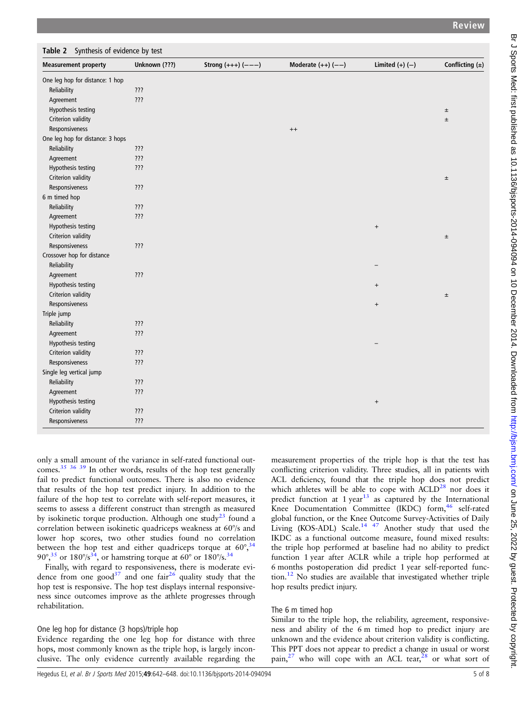<span id="page-4-0"></span>

| <b>Measurement property</b>      | Unknown (???) | Strong $(+++)$ $(---)$ | Moderate $(++)$ $(--)$ | Limited $(+)$ $(-)$ | Conflicting $(\pm)$ |
|----------------------------------|---------------|------------------------|------------------------|---------------------|---------------------|
| One leg hop for distance: 1 hop  |               |                        |                        |                     |                     |
| Reliability                      | ???           |                        |                        |                     |                     |
| Agreement                        | ???           |                        |                        |                     |                     |
| Hypothesis testing               |               |                        |                        |                     | $\pm$               |
| Criterion validity               |               |                        |                        |                     | $\pm$               |
| Responsiveness                   |               |                        | $++$                   |                     |                     |
| One leg hop for distance: 3 hops |               |                        |                        |                     |                     |
| Reliability                      | ???           |                        |                        |                     |                     |
| Agreement                        | ???           |                        |                        |                     |                     |
| Hypothesis testing               | ???           |                        |                        |                     |                     |
| Criterion validity               |               |                        |                        |                     | $\pm$               |
| Responsiveness                   | ???           |                        |                        |                     |                     |
| 6 m timed hop                    |               |                        |                        |                     |                     |
| Reliability                      | ???           |                        |                        |                     |                     |
| Agreement                        | ???           |                        |                        |                     |                     |
| Hypothesis testing               |               |                        |                        | $^{\mathrm{+}}$     |                     |
| Criterion validity               |               |                        |                        |                     | $\pm$               |
| Responsiveness                   | ???           |                        |                        |                     |                     |
| Crossover hop for distance       |               |                        |                        |                     |                     |
| Reliability                      |               |                        |                        |                     |                     |
| Agreement                        | ???           |                        |                        |                     |                     |
| Hypothesis testing               |               |                        |                        | $^+$                |                     |
| Criterion validity               |               |                        |                        |                     | $\pm$               |
| Responsiveness                   |               |                        |                        | $^+$                |                     |
| Triple jump                      |               |                        |                        |                     |                     |
| Reliability                      | ???           |                        |                        |                     |                     |
| Agreement                        | ???           |                        |                        |                     |                     |
| Hypothesis testing               |               |                        |                        |                     |                     |
| Criterion validity               | ???           |                        |                        |                     |                     |
| Responsiveness                   | ???           |                        |                        |                     |                     |
| Single leg vertical jump         |               |                        |                        |                     |                     |
| Reliability                      | ???           |                        |                        |                     |                     |
| Agreement                        | ???           |                        |                        |                     |                     |
| Hypothesis testing               |               |                        |                        | $^{\mathrm{+}}$     |                     |
| Criterion validity               | ???           |                        |                        |                     |                     |
| Responsiveness                   | ???           |                        |                        |                     |                     |

only a small amount of the variance in self-rated functional out-

comes.[35 36 39](#page-6-0) In other words, results of the hop test generally fail to predict functional outcomes. There is also no evidence that results of the hop test predict injury. In addition to the failure of the hop test to correlate with self-report measures, it seems to assess a different construct than strength as measured by isokinetic torque production. Although one study<sup>23</sup> found a correlation between isokinetic quadriceps weakness at 60°/s and lower hop scores, two other studies found no correlation between the hop test and either quadriceps torque at  $60^{\circ}$ ,  $3^2$ 90°, $^{35}$  or 180°/s<sup>34</sup>, or hamstring torque at 60° or 180°/s.<sup>34</sup>

Finally, with regard to responsiveness, there is moderate evi-dence from one good<sup>37</sup> and one fair<sup>[26](#page-6-0)</sup> quality study that the hop test is responsive. The hop test displays internal responsiveness since outcomes improve as the athlete progresses through rehabilitation.

## One leg hop for distance (3 hops)/triple hop

Evidence regarding the one leg hop for distance with three hops, most commonly known as the triple hop, is largely inconclusive. The only evidence currently available regarding the measurement properties of the triple hop is that the test has conflicting criterion validity. Three studies, all in patients with ACL deficiency, found that the triple hop does not predict which athletes will be able to cope with  $\text{ACLD}^{28}$  $\text{ACLD}^{28}$  $\text{ACLD}^{28}$  nor does it predict function at  $1 \text{ year}^{13}$  $1 \text{ year}^{13}$  $1 \text{ year}^{13}$  as captured by the International Knee Documentation Committee (IKDC) form,<sup>46</sup> self-rated global function, or the Knee Outcome Survey-Activities of Daily Living (KOS-ADL) Scale.<sup>[14](#page-6-0) [47](#page-7-0)</sup> Another study that used the IKDC as a functional outcome measure, found mixed results: the triple hop performed at baseline had no ability to predict function 1 year after ACLR while a triple hop performed at 6 months postoperation did predict 1 year self-reported func- $\frac{12}{10}$  No studies are available that investigated whether triple hop results predict injury.

## The 6 m timed hop

Similar to the triple hop, the reliability, agreement, responsiveness and ability of the 6 m timed hop to predict injury are unknown and the evidence about criterion validity is conflicting. This PPT does not appear to predict a change in usual or worst pain,<sup>[27](#page-6-0)</sup> who will cope with an ACL tear,<sup>[28](#page-6-0)</sup> or what sort of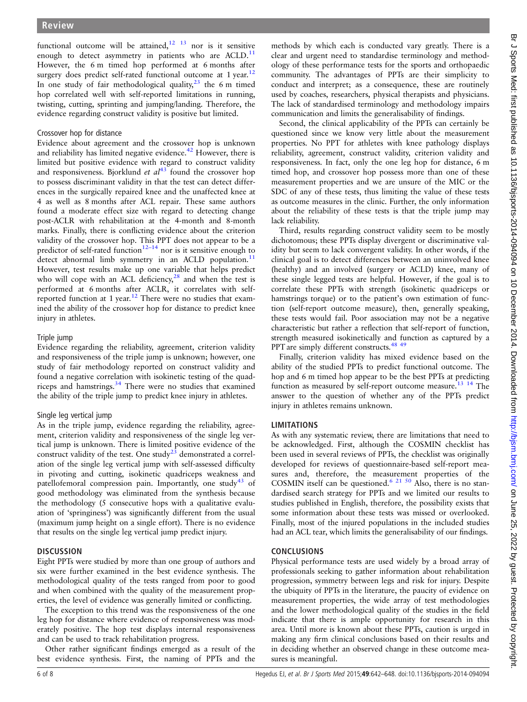functional outcome will be attained, $12 \tcdot 13$  nor is it sensitive enough to detect asymmetry in patients who are ACLD.<sup>11</sup> However, the 6 m timed hop performed at 6 months after surgery does predict self-rated functional outcome at 1 year.<sup>[12](#page-6-0)</sup> In one study of fair methodological quality,<sup>[23](#page-6-0)</sup> the 6 m timed hop correlated well with self-reported limitations in running, twisting, cutting, sprinting and jumping/landing. Therefore, the evidence regarding construct validity is positive but limited.

## Crossover hop for distance

Evidence about agreement and the crossover hop is unknown and reliability has limited negative evidence.<sup>42</sup> However, there is limited but positive evidence with regard to construct validity and responsiveness. Bjorklund et  $al^{43}$  $al^{43}$  $al^{43}$  found the crossover hop to possess discriminant validity in that the test can detect differences in the surgically repaired knee and the unaffected knee at 4 as well as 8 months after ACL repair. These same authors found a moderate effect size with regard to detecting change post-ACLR with rehabilitation at the 4-month and 8-month marks. Finally, there is conflicting evidence about the criterion validity of the crossover hop. This PPT does not appear to be a predictor of self-rated function<sup>12–14</sup> nor is it sensitive enough to detect abnormal limb symmetry in an ACLD population.<sup>11</sup> However, test results make up one variable that helps predict who will cope with an ACL deficiency,<sup>[28](#page-6-0)</sup> and when the test is performed at 6 months after ACLR, it correlates with self-reported function at 1 year.<sup>[12](#page-6-0)</sup> There were no studies that examined the ability of the crossover hop for distance to predict knee injury in athletes.

## Triple jump

Evidence regarding the reliability, agreement, criterion validity and responsiveness of the triple jump is unknown; however, one study of fair methodology reported on construct validity and found a negative correlation with isokinetic testing of the quadriceps and hamstrings. $34$  There were no studies that examined the ability of the triple jump to predict knee injury in athletes.

## Single leg vertical jump

As in the triple jump, evidence regarding the reliability, agreement, criterion validity and responsiveness of the single leg vertical jump is unknown. There is limited positive evidence of the construct validity of the test. One study<sup>[23](#page-6-0)</sup> demonstrated a correlation of the single leg vertical jump with self-assessed difficulty in pivoting and cutting, isokinetic quadriceps weakness and patellofemoral compression pain. Importantly, one study $43$  of good methodology was eliminated from the synthesis because the methodology (5 consecutive hops with a qualitative evaluation of 'springiness') was significantly different from the usual (maximum jump height on a single effort). There is no evidence that results on the single leg vertical jump predict injury.

### **DISCUSSION**

Eight PPTs were studied by more than one group of authors and six were further examined in the best evidence synthesis. The methodological quality of the tests ranged from poor to good and when combined with the quality of the measurement properties, the level of evidence was generally limited or conflicting.

The exception to this trend was the responsiveness of the one leg hop for distance where evidence of responsiveness was moderately positive. The hop test displays internal responsiveness and can be used to track rehabilitation progress.

Other rather significant findings emerged as a result of the best evidence synthesis. First, the naming of PPTs and the

methods by which each is conducted vary greatly. There is a clear and urgent need to standardise terminology and methodology of these performance tests for the sports and orthopaedic community. The advantages of PPTs are their simplicity to conduct and interpret; as a consequence, these are routinely used by coaches, researchers, physical therapists and physicians. The lack of standardised terminology and methodology impairs communication and limits the generalisability of findings.

Second, the clinical applicability of the PPTs can certainly be questioned since we know very little about the measurement properties. No PPT for athletes with knee pathology displays reliability, agreement, construct validity, criterion validity and responsiveness. In fact, only the one leg hop for distance, 6 m timed hop, and crossover hop possess more than one of these measurement properties and we are unsure of the MIC or the SDC of any of these tests, thus limiting the value of these tests as outcome measures in the clinic. Further, the only information about the reliability of these tests is that the triple jump may lack reliability.

Third, results regarding construct validity seem to be mostly dichotomous; these PPTs display divergent or discriminative validity but seem to lack convergent validity. In other words, if the clinical goal is to detect differences between an uninvolved knee (healthy) and an involved (surgery or ACLD) knee, many of these single legged tests are helpful. However, if the goal is to correlate these PPTs with strength (isokinetic quadriceps or hamstrings torque) or to the patient's own estimation of function (self-report outcome measure), then, generally speaking, these tests would fail. Poor association may not be a negative characteristic but rather a reflection that self-report of function, strength measured isokinetically and function as captured by a PPT are simply different constructs.<sup>[48 49](#page-7-0)</sup>

Finally, criterion validity has mixed evidence based on the ability of the studied PPTs to predict functional outcome. The hop and 6 m timed hop appear to be the best PPTs at predicting function as measured by self-report outcome measure.<sup>[13 14](#page-6-0)</sup> The answer to the question of whether any of the PPTs predict injury in athletes remains unknown.

## LIMITATIONS

As with any systematic review, there are limitations that need to be acknowledged. First, although the COSMIN checklist has been used in several reviews of PPTs, the checklist was originally developed for reviews of questionnaire-based self-report measures and, therefore, the measurement properties of the COSMIN itself can be questioned.<sup>[6 21](#page-6-0) [50](#page-7-0)</sup> Also, there is no standardised search strategy for PPTs and we limited our results to studies published in English, therefore, the possibility exists that some information about these tests was missed or overlooked. Finally, most of the injured populations in the included studies had an ACL tear, which limits the generalisability of our findings.

## **CONCLUSIONS**

Physical performance tests are used widely by a broad array of professionals seeking to gather information about rehabilitation progression, symmetry between legs and risk for injury. Despite the ubiquity of PPTs in the literature, the paucity of evidence on measurement properties, the wide array of test methodologies and the lower methodological quality of the studies in the field indicate that there is ample opportunity for research in this area. Until more is known about these PPTs, caution is urged in making any firm clinical conclusions based on their results and in deciding whether an observed change in these outcome measures is meaningful.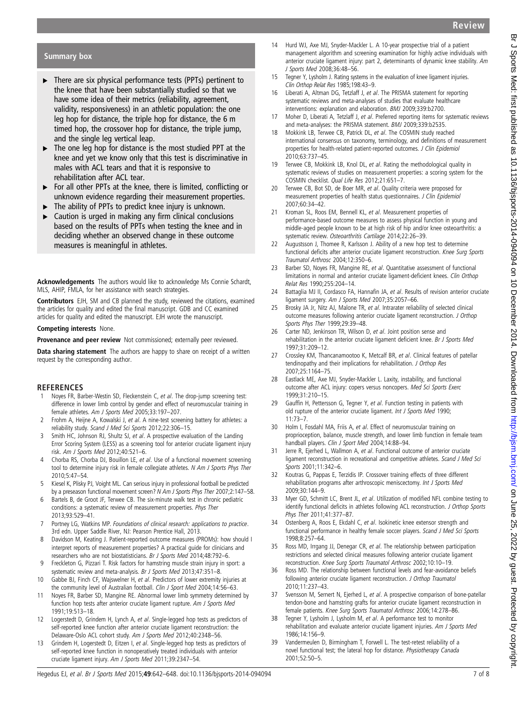## <span id="page-6-0"></span>Summary box

- ▸ There are six physical performance tests (PPTs) pertinent to the knee that have been substantially studied so that we have some idea of their metrics (reliability, agreement, validity, responsiveness) in an athletic population: the one leg hop for distance, the triple hop for distance, the 6 m timed hop, the crossover hop for distance, the triple jump, and the single leg vertical leap.
- ▶ The one leg hop for distance is the most studied PPT at the knee and yet we know only that this test is discriminative in males with ACL tears and that it is responsive to rehabilitation after ACL tear.
- ▶ For all other PPTs at the knee, there is limited, conflicting or unknown evidence regarding their measurement properties.
- $\blacktriangleright$  The ability of PPTs to predict knee injury is unknown.
- Caution is urged in making any firm clinical conclusions based on the results of PPTs when testing the knee and in deciding whether an observed change in these outcome measures is meaningful in athletes.

Acknowledgements The authors would like to acknowledge Ms Connie Schardt, MLS, AHIP, FMLA, for her assistance with search strategies.

Contributors EJH, SM and CB planned the study, reviewed the citations, examined the articles for quality and edited the final manuscript. GDB and CC examined articles for quality and edited the manuscript. EJH wrote the manuscript.

#### Competing interests None.

Provenance and peer review Not commissioned; externally peer reviewed.

Data sharing statement The authors are happy to share on receipt of a written request by the corresponding author.

### **REFERENCES**

- 1 Noves FR, Barber-Westin SD, Fleckenstein C, et al. The drop-jump screening test: difference in lower limb control by gender and effect of neuromuscular training in female athletes. Am J Sports Med 2005;33:197–207.
- 2 Frohm A, Heijne A, Kowalski J, et al. A nine-test screening battery for athletes: a reliability study. Scand J Med Sci Sports 2012;22:306–15.
- 3 Smith HC, Johnson RJ, Shultz SJ, et al. A prospective evaluation of the Landing Error Scoring System (LESS) as a screening tool for anterior cruciate ligament injury risk. Am J Sports Med 2012;40:521–6.
- 4 Chorba RS, Chorba DJ, Bouillon LE, et al. Use of a functional movement screening tool to determine injury risk in female collegiate athletes. N Am J Sports Phys Ther 2010;5:47–54.
- 5 Kiesel K, Plisky PJ, Voight ML. Can serious injury in professional football be predicted by a preseason functional movement screen? N Am J Sports Phys Ther 2007;2:147-58.
- 6 Bartels B, de Groot JF, Terwee CB. The six-minute walk test in chronic pediatric conditions: a systematic review of measurement properties. Phys Ther 2013;93:529–41.
- 7 Portney LG, Watkins MP. Foundations of clinical research: applications to practice. 3rd edn. Upper Saddle River, NJ: Pearson Prentice Hall, 2013.
- 8 Davidson M, Keating J. Patient-reported outcome measures (PROMs): how should I interpret reports of measurement properties? A practical guide for clinicians and researchers who are not biostatisticians. Br J Sports Med 2014;48:792–6.
- 9 Freckleton G, Pizzari T. Risk factors for hamstring muscle strain injury in sport: a systematic review and meta-analysis. Br J Sports Med 2013;47:351–8.
- 10 Gabbe BJ, Finch CF, Wajswelner H, et al. Predictors of lower extremity injuries at the community level of Australian football. Clin J Sport Med 2004;14:56-63.
- 11 Noyes FR, Barber SD, Mangine RE. Abnormal lower limb symmetry determined by function hop tests after anterior cruciate ligament rupture. Am J Sports Med 1991;19:513–18.
- 12 Logerstedt D, Grindem H, Lynch A, et al. Single-legged hop tests as predictors of self-reported knee function after anterior cruciate ligament reconstruction: the Delaware-Oslo ACL cohort study. Am J Sports Med 2012;40:2348–56.
- Grindem H, Logerstedt D, Eitzen I, et al. Single-legged hop tests as predictors of self-reported knee function in nonoperatively treated individuals with anterior cruciate ligament injury. Am J Sports Med 2011;39:2347–54.
- 14 Hurd WJ, Axe MJ, Snyder-Mackler L. A 10-year prospective trial of a patient management algorithm and screening examination for highly active individuals with anterior cruciate ligament injury: part 2, determinants of dynamic knee stability. Am J Sports Med 2008;36:48–56.
- 15 Tegner Y, Lysholm J. Rating systems in the evaluation of knee ligament injuries. Clin Orthop Relat Res 1985;198:43-9.
- 16 Liberati A, Altman DG, Tetzlaff J, et al. The PRISMA statement for reporting systematic reviews and meta-analyses of studies that evaluate healthcare interventions: explanation and elaboration. BMJ 2009;339:b2700.
- 17 Moher D, Liberati A, Tetzlaff J, et al. Preferred reporting items for systematic reviews and meta-analyses: the PRISMA statement. BMJ 2009;339:b2535.
- 18 Mokkink LB, Terwee CB, Patrick DL, et al. The COSMIN study reached international consensus on taxonomy, terminology, and definitions of measurement properties for health-related patient-reported outcomes. J Clin Epidemiol 2010;63:737–45.
- 19 Terwee CB, Mokkink LB, Knol DL, et al. Rating the methodological quality in systematic reviews of studies on measurement properties: a scoring system for the COSMIN checklist. Qual Life Res 2012;21:651–7.
- 20 Terwee CB, Bot SD, de Boer MR, et al. Quality criteria were proposed for measurement properties of health status questionnaires. J Clin Epidemiol 2007;60:34–42.
- 21 Kroman SL, Roos EM, Bennell KL, et al. Measurement properties of performance-based outcome measures to assess physical function in young and middle-aged people known to be at high risk of hip and/or knee osteoarthritis: a systematic review. Osteoarthritis Cartilage 2014;22:26–39.
- 22 Augustsson J, Thomee R, Karlsson J. Ability of a new hop test to determine functional deficits after anterior cruciate ligament reconstruction. Knee Surg Sports Traumatol Arthrosc 2004;12:350–6.
- 23 Barber SD, Noyes FR, Mangine RE, et al. Quantitative assessment of functional limitations in normal and anterior cruciate ligament-deficient knees. Clin Orthop Relat Res 1990;255:204–14.
- 24 Battaglia MJ II, Cordasco FA, Hannafin JA, et al. Results of revision anterior cruciate ligament surgery. Am J Sports Med 2007;35:2057–66.
- 25 Brosky JA Jr, Nitz AJ, Malone TR, et al. Intrarater reliability of selected clinical outcome measures following anterior cruciate ligament reconstruction. J Orthop Sports Phys Ther 1999;29:39–48.
- 26 Carter ND, Jenkinson TR, Wilson D, et al. Joint position sense and rehabilitation in the anterior cruciate ligament deficient knee. Br J Sports Med 1997;31:209–12.
- 27 Crossley KM, Thancanamootoo K, Metcalf BR, et al. Clinical features of patellar tendinopathy and their implications for rehabilitation. J Orthop Res 2007;25:1164–75.
- 28 Eastlack ME, Axe MJ, Snyder-Mackler L. Laxity, instability, and functional outcome after ACL injury: copers versus noncopers. Med Sci Sports Exerc 1999;31:210–15.
- 29 Gauffin H, Pettersson G, Tegner Y, et al. Function testing in patients with old rupture of the anterior cruciate ligament. Int J Sports Med 1990; 11:73–7.
- 30 Holm I, Fosdahl MA, Friis A, et al. Effect of neuromuscular training on proprioception, balance, muscle strength, and lower limb function in female team handball players. Clin J Sport Med 2004;14:88-94.
- 31 Jerre R, Ejerhed L, Wallmon A, et al. Functional outcome of anterior cruciate ligament reconstruction in recreational and competitive athletes. Scand J Med Sci Sports 2001;11:342–6.
- Koutras G, Pappas E, Terzidis IP. Crossover training effects of three different rehabilitation programs after arthroscopic meniscectomy. Int J Sports Med 2009;30:144–9.
- 33 Myer GD, Schmitt LC, Brent JL, et al. Utilization of modified NFL combine testing to identify functional deficits in athletes following ACL reconstruction. J Orthop Sports Phys Ther 2011;41:377–87.
- 34 Ostenberg A, Roos E, Ekdahl C, et al. Isokinetic knee extensor strength and functional performance in healthy female soccer players. Scand J Med Sci Sports 1998;8:257–64.
- 35 Ross MD, Irrgang JJ, Denegar CR, et al. The relationship between participation restrictions and selected clinical measures following anterior cruciate ligament reconstruction. Knee Surg Sports Traumatol Arthrosc 2002;10:10–19.
- 36 Ross MD. The relationship between functional levels and fear-avoidance beliefs following anterior cruciate ligament reconstruction. J Orthop Traumatol 2010;11:237–43.
- 37 Svensson M, Sernert N, Ejerhed L, et al. A prospective comparison of bone-patellar tendon-bone and hamstring grafts for anterior cruciate ligament reconstruction in female patients. Knee Surg Sports Traumatol Arthrosc 2006;14:278–86.
- 38 Tegner Y, Lysholm J, Lysholm M, et al. A performance test to monitor rehabilitation and evaluate anterior cruciate ligament injuries. Am J Sports Med 1986;14:156–9.
- 39 Vandermeulen D, Birmingham T, Forwell L. The test-retest reliability of a novel functional test; the lateral hop for distance. Physiotherapy Canada 2001;52:50–5.